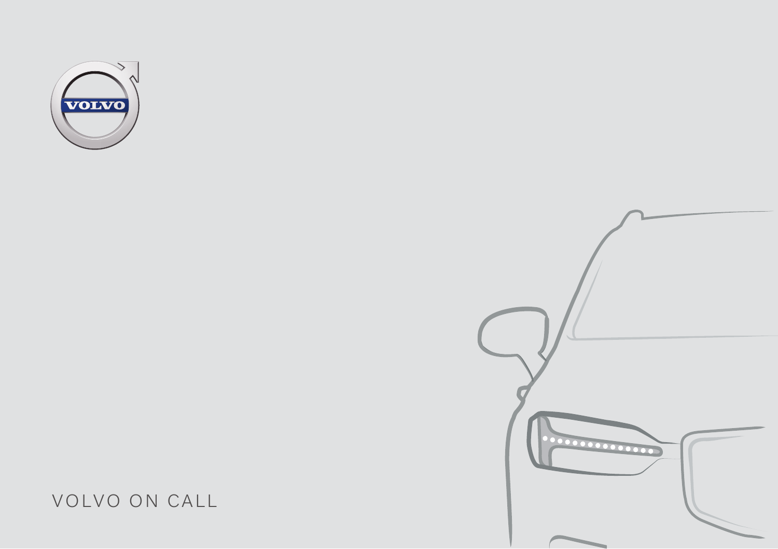



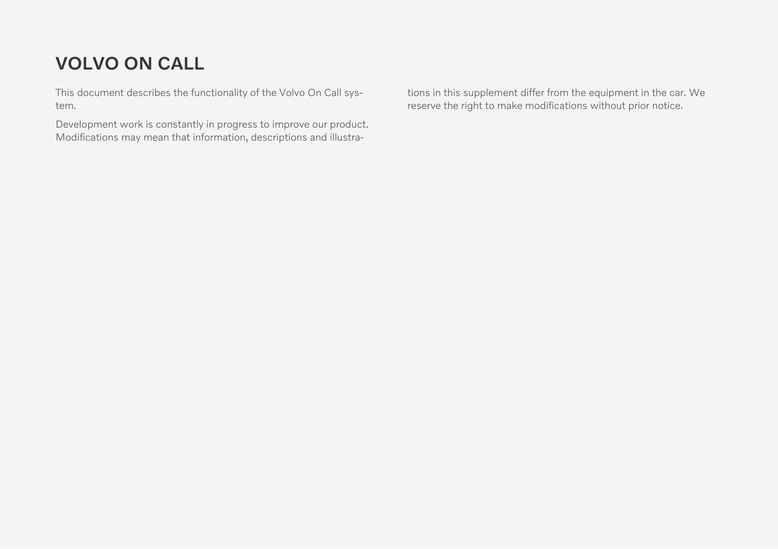# VOLVO ON CALL

This document describes the functionality of the Volvo On Call system.

Development work is constantly in progress to improve our product. Modifications may mean that information, descriptions and illustrations in this supplement differ from the equipment in the car. We reserve the right to make modifications without prior notice.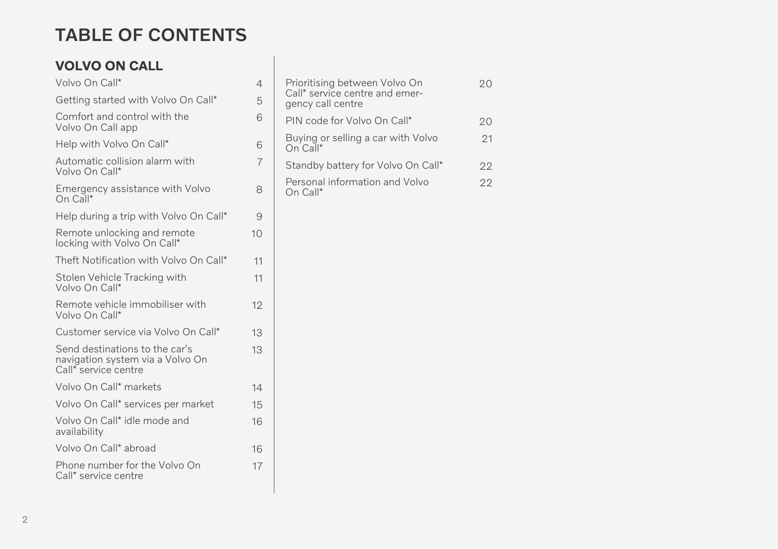# TABLE OF CONTENTS

## VOLVO ON CALL

| Volvo On Call*                                                                             | $\overline{4}$ |  |
|--------------------------------------------------------------------------------------------|----------------|--|
| Getting started with Volvo On Call*                                                        | 5              |  |
| Comfort and control with the<br>Volvo On Call app                                          | 6              |  |
| Help with Volvo On Call*                                                                   | 6              |  |
| Automatic collision alarm with<br>Volvo On Call*                                           | $\overline{7}$ |  |
| Emergency assistance with Volvo<br>On Call*                                                | 8              |  |
| Help during a trip with Volvo On Call*                                                     | 9              |  |
| Remote unlocking and remote<br>locking with Volvo On Call*                                 | 10             |  |
| Theft Notification with Volvo On Call*                                                     | 11             |  |
| Stolen Vehicle Tracking with<br>Volvo On Call*                                             | 11             |  |
| Remote vehicle immobiliser with<br>Volvo On Call*                                          | 12             |  |
| Customer service via Volvo On Call*                                                        | 13             |  |
| Send destinations to the car's<br>navigation system via a Volvo On<br>Call* service centre | 13             |  |
| Volvo On Call* markets                                                                     | 14             |  |
| Volvo On Call* services per market                                                         | 15             |  |
| Volvo On Call* idle mode and<br>availability                                               | 16             |  |
| Volvo On Call* abroad                                                                      | 16             |  |
| Phone number for the Volvo On<br>Call* service centre                                      | 17             |  |

| Prioritising between Volvo On<br>Call* service centre and emer-<br>gency call centre |    |
|--------------------------------------------------------------------------------------|----|
| PIN code for Volvo On Call*                                                          | 20 |
| Buying or selling a car with Volvo<br>On Call*                                       | 21 |
| Standby battery for Volvo On Call*                                                   | 22 |
| Personal information and Volvo<br>On Call*                                           | 22 |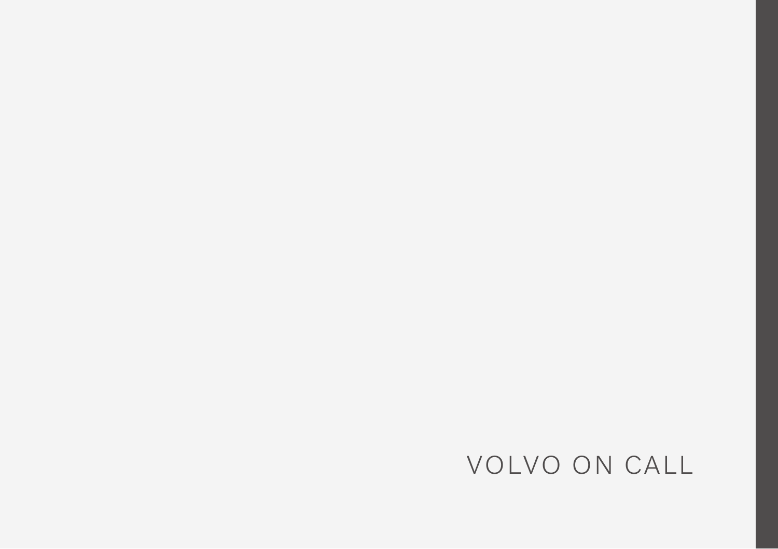# VOLVO ON CALL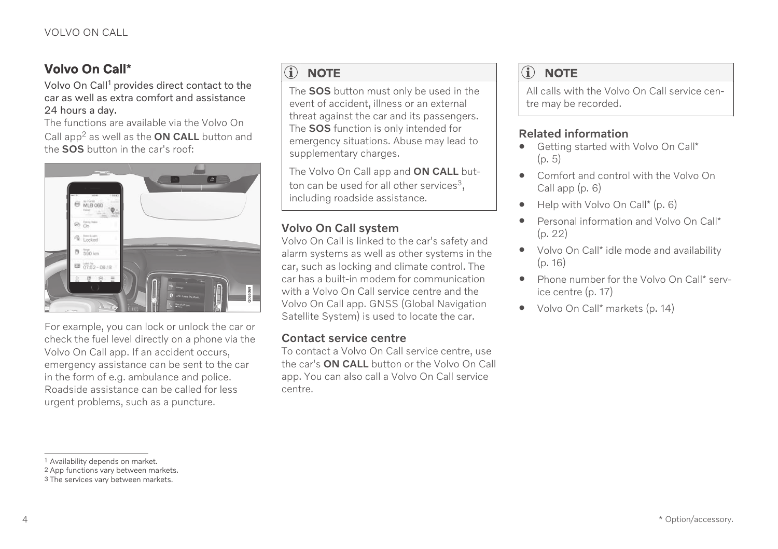## <span id="page-5-0"></span>Volvo On Call**\***

Volvo On Call<sup>1</sup> provides direct contact to the car as well as extra comfort and assistance 24 hours a day.

The functions are available via the Volvo On Call app<sup>2</sup> as well as the  $ON$  CALL button and the SOS button in the car's roof:



For example, you can lock or unlock the car or check the fuel level directly on a phone via the Volvo On Call app. If an accident occurs, emergency assistance can be sent to the car in the form of e.g. ambulance and police. Roadside assistance can be called for less urgent problems, such as a puncture.

#### $\overline{1}$ **[NOTE](https://voice.cbg.com:443/cmsweb/workspace/item/metadata/details.do?io=9cab7e1ee7d19ba1c0a8015165c79950&version=3&language=en&variant=GB)**

The SOS button must only be used in the event of accident, illness or an external threat against the car and its passengers. The **SOS** function is only intended for emergency situations. Abuse may lead to supplementary charges.

The Volvo On Call app and ON CALL button can be used for all other services<sup>3</sup>. including roadside assistance.

#### Volvo On Call system

Volvo On Call is linked to the car's safety and alarm systems as well as other systems in the car, such as locking and climate control. The car has a built-in modem for communication with a Volvo On Call service centre and the Volvo On Call app. GNSS (Global Navigation Satellite System) is used to locate the car.

#### Contact service centre

To contact a Volvo On Call service centre, use the car's ON CALL button or the Volvo On Call app. You can also call a Volvo On Call service centre.

#### $\bigcirc$ **[NOTE](https://voice.cbg.com:443/cmsweb/workspace/item/metadata/details.do?io=df64eeefb2724ec2c0a801e8001eae5b&version=7&language=en&variant=GB)**

All calls with the Volvo On Call service centre may be recorded.

#### Related information

- [Getting started with Volvo On Call](#page-6-0)\*  $(p, 5)$
- [Comfort and control with the Volvo On](#page-7-0) [Call app \(p. 6\)](#page-7-0)
- [Help with Volvo On Call](#page-7-0)\* (p. 6)
- [Personal information and Volvo On Call](#page-23-0)\* [\(p. 22\)](#page-23-0)
- Volvo On Call\* [idle mode and availability](#page-17-0) [\(p. 16\)](#page-17-0)
- [Phone number for the Volvo On Call](#page-18-0)\* serv[ice centre \(p. 17\)](#page-18-0)
- Volvo On Call\* [markets \(p. 14\)](#page-15-0)

2 App functions vary between markets.

<sup>1</sup> Availability depends on market.

<sup>3</sup> The services vary between markets.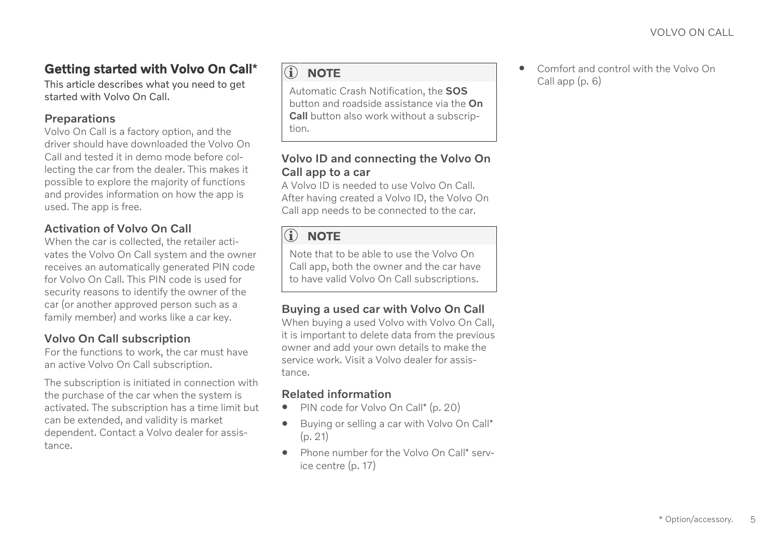## <span id="page-6-0"></span>Getting started with Volvo On Call**\***

This article describes what you need to get started with Volvo On Call.

#### Preparations

Volvo On Call is a factory option, and the driver should have downloaded the Volvo On Call and tested it in demo mode before collecting the car from the dealer. This makes it possible to explore the majority of functions and provides information on how the app is used. The app is free.

#### Activation of Volvo On Call

When the car is collected, the retailer activates the Volvo On Call system and the owner receives an automatically generated PIN code for Volvo On Call. This PIN code is used for security reasons to identify the owner of the car (or another approved person such as a family member) and works like a car key.

#### Volvo On Call subscription

For the functions to work, the car must have an active Volvo On Call subscription.

The subscription is initiated in connection with the purchase of the car when the system is activated. The subscription has a time limit but can be extended, and validity is market dependent. Contact a Volvo dealer for assistance.

## $\hat{a}$  note

Automatic Crash Notification, the SOS button and roadside assistance via the On Call button also work without a subscription.

#### Volvo ID and connecting the Volvo On Call app to a car

A Volvo ID is needed to use Volvo On Call. After having created a Volvo ID, the Volvo On Call app needs to be connected to the car.

#### $\mathbf{G}$ **[NOTE](https://voice.cbg.com:443/cmsweb/workspace/item/metadata/details.do?io=faec5cbb16827601c0a801511846aaf4&version=1&language=en&variant=GB)**

Note that to be able to use the Volvo On Call app, both the owner and the car have to have valid Volvo On Call subscriptions.

#### Buying a used car with Volvo On Call

When buying a used Volvo with Volvo On Call, it is important to delete data from the previous owner and add your own details to make the service work. Visit a Volvo dealer for assistance.

#### Related information

- [PIN code for Volvo On Call](#page-21-0)\* (p. 20)
- [Buying or selling a car with Volvo On Call](#page-22-0)\* [\(p. 21\)](#page-22-0)
- [Phone number for the Volvo On Call](#page-18-0)\* serv[ice centre \(p. 17\)](#page-18-0)

• [Comfort and control with the Volvo On](#page-7-0) [Call app \(p. 6\)](#page-7-0)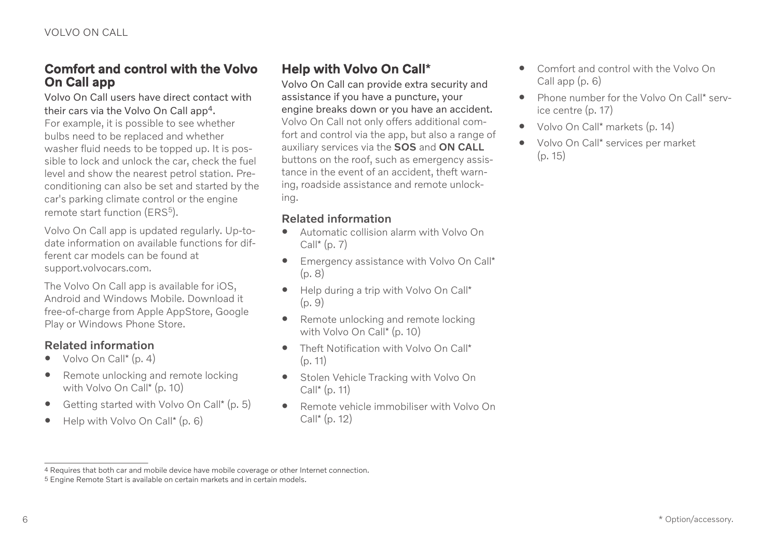### <span id="page-7-0"></span>Comfort and control with the Volvo On Call app

Volvo On Call users have direct contact with their cars via the Volvo On Call app4. For example, it is possible to see whether bulbs need to be replaced and whether washer fluid needs to be topped up. It is possible to lock and unlock the car, check the fuel level and show the nearest petrol station. Preconditioning can also be set and started by the car's parking climate control or the engine remote start function (ERS<sup>5</sup>).

Volvo On Call app is updated regularly. Up-todate information on available functions for different car models can be found at [support.volvocars.com.](http://support.volvocars.com)

The Volvo On Call app is available for iOS, Android and Windows Mobile. Download it free-of-charge from Apple AppStore, Google Play or Windows Phone Store.

#### Related information

- [Volvo On Call](#page-5-0)\* (p. 4)
- [Remote unlocking and remote locking](#page-11-0) [with Volvo On Call](#page-11-0)\* (p. 10)
- [Getting started with Volvo On Call](#page-6-0)\* (p. 5)
- Help with Volvo On Call\* (p. 6)

## Help with Volvo On Call**\***

Volvo On Call can provide extra security and assistance if you have a puncture, your engine breaks down or you have an accident. Volvo On Call not only offers additional comfort and control via the app, but also a range of auxiliary services via the SOS and ON CALL buttons on the roof, such as emergency assistance in the event of an accident, theft warning, roadside assistance and remote unlocking.

- [Automatic collision alarm with Volvo On](#page-8-0)  $Call^*(n, 7)$
- [Emergency assistance with Volvo On Call](#page-9-0)\* [\(p. 8\)](#page-9-0)
- [Help during a trip with Volvo On Call](#page-10-0)\* [\(p. 9\)](#page-10-0)
- [Remote unlocking and remote locking](#page-11-0) [with Volvo On Call](#page-11-0)\* (p. 10)
- [Theft Notification with Volvo On Call](#page-12-0)\* [\(p. 11\)](#page-12-0)
- [Stolen Vehicle Tracking with Volvo On](#page-12-0) Call\* [\(p. 11\)](#page-12-0)
- [Remote vehicle immobiliser with Volvo On](#page-13-0) Call\* [\(p. 12\)](#page-13-0)
- Comfort and control with the Volvo On Call app (p. 6)
- [Phone number for the Volvo On Call](#page-18-0)\* serv[ice centre \(p. 17\)](#page-18-0)
- Volvo On Call\* [markets \(p. 14\)](#page-15-0)
- Volvo On Call\* [services per market](#page-16-0) [\(p. 15\)](#page-16-0)

<sup>4</sup> Requires that both car and mobile device have mobile coverage or other Internet connection.

<sup>5</sup> Engine Remote Start is available on certain markets and in certain models.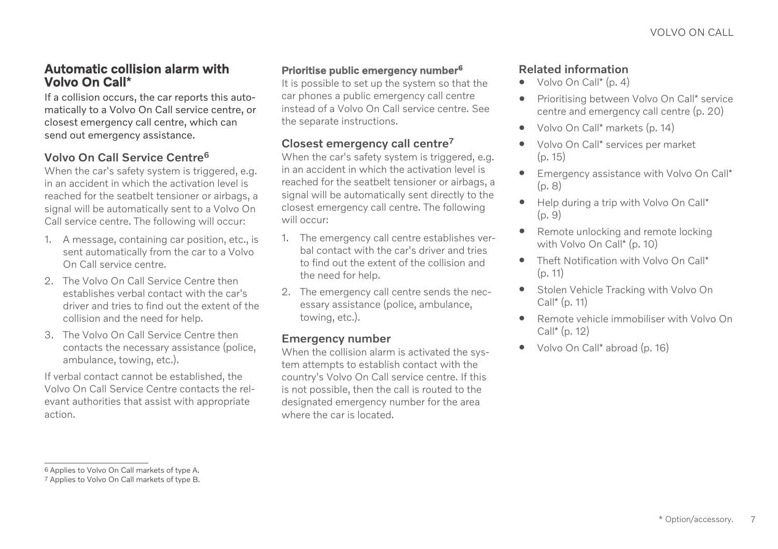### <span id="page-8-0"></span>Automatic collision alarm with Volvo On Call**\***

If a collision occurs, the car reports this automatically to a Volvo On Call service centre, or closest emergency call centre, which can send out emergency assistance.

#### Volvo On Call Service Centre<sup>6</sup>

When the car's safety system is triggered, e.g. in an accident in which the activation level is reached for the seatbelt tensioner or airbags, a signal will be automatically sent to a Volvo On Call service centre. The following will occur:

- 1. A message, containing car position, etc., is sent automatically from the car to a Volvo On Call service centre.
- 2. The Volvo On Call Service Centre then establishes verbal contact with the car's driver and tries to find out the extent of the collision and the need for help.
- 3. The Volvo On Call Service Centre then contacts the necessary assistance (police, ambulance, towing, etc.).

If verbal contact cannot be established, the Volvo On Call Service Centre contacts the relevant authorities that assist with appropriate action.

#### Prioritise public emergency number<sup>6</sup>

It is possible to set up the system so that the car phones a public emergency call centre instead of a Volvo On Call service centre. See the separate instructions.

#### Closest emergency call centre<sup>7</sup>

When the car's safety system is triggered, e.g. in an accident in which the activation level is reached for the seathelt tensioner or airbags, a signal will be automatically sent directly to the closest emergency call centre. The following will occur:

- 1. The emergency call centre establishes verbal contact with the car's driver and tries to find out the extent of the collision and the need for help.
- 2. The emergency call centre sends the necessary assistance (police, ambulance, towing, etc.).

#### Emergency number

When the collision alarm is activated the system attempts to establish contact with the country's Volvo On Call service centre. If this is not possible, then the call is routed to the designated emergency number for the area where the car is located.

- [Volvo On Call](#page-5-0)\* (p. 4)
- [Prioritising between Volvo On Call](#page-21-0)\* service [centre and emergency call centre \(p. 20\)](#page-21-0)
- Volvo On Call\* [markets \(p. 14\)](#page-15-0)
- Volvo On Call\* [services per market](#page-16-0)  $(p. 15)$
- [Emergency assistance with Volvo On Call](#page-9-0)\* [\(p. 8\)](#page-9-0)
- [Help during a trip with Volvo On Call](#page-10-0)\*  $(p. 9)$
- [Remote unlocking and remote locking](#page-11-0) [with Volvo On Call](#page-11-0)\* (p. 10)
- [Theft Notification with Volvo On Call](#page-12-0)\* [\(p. 11\)](#page-12-0)
- [Stolen Vehicle Tracking with Volvo On](#page-12-0) Call\* [\(p. 11\)](#page-12-0)
- [Remote vehicle immobiliser with Volvo On](#page-13-0) Call\* [\(p. 12\)](#page-13-0)
- Volvo On Call\* [abroad \(p. 16\)](#page-17-0)

<sup>6</sup> Applies to Volvo On Call markets of type A.

<sup>7</sup> Applies to Volvo On Call markets of type B.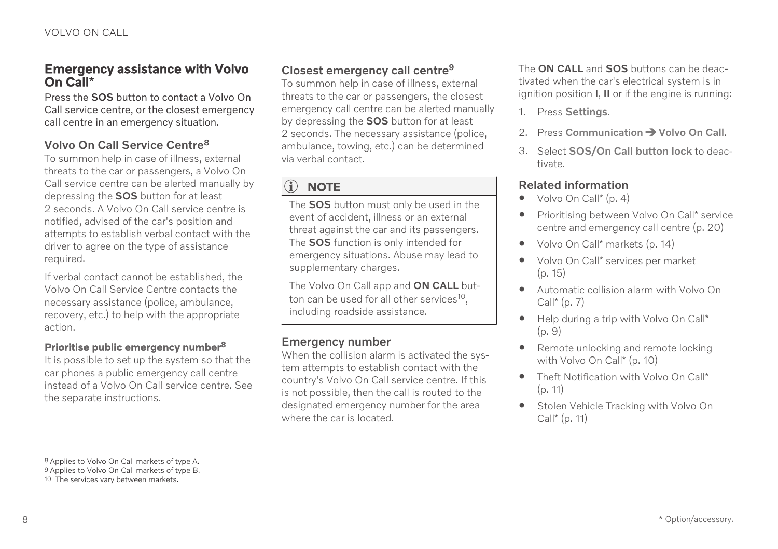#### <span id="page-9-0"></span>Emergency assistance with Volvo On Call**\***

Press the SOS button to contact a Volvo On Call service centre, or the closest emergency call centre in an emergency situation.

#### Volvo On Call Service Centre<sup>8</sup>

To summon help in case of illness, external threats to the car or passengers, a Volvo On Call service centre can be alerted manually by depressing the SOS button for at least 2 seconds. A Volvo On Call service centre is notified, advised of the car's position and attempts to establish verbal contact with the driver to agree on the type of assistance required.

If verbal contact cannot be established, the Volvo On Call Service Centre contacts the necessary assistance (police, ambulance, recovery, etc.) to help with the appropriate action.

#### Prioritise public emergency number<sup>8</sup>

It is possible to set up the system so that the car phones a public emergency call centre instead of a Volvo On Call service centre. See the separate instructions.

### Closest emergency call centre<sup>9</sup>

To summon help in case of illness, external threats to the car or passengers, the closest emergency call centre can be alerted manually by depressing the SOS button for at least 2 seconds. The necessary assistance (police, ambulance, towing, etc.) can be determined via verbal contact.

#### $\left| \right)$ **[NOTE](https://voice.cbg.com:443/cmsweb/workspace/item/metadata/details.do?io=9cab7e1ee7d19ba1c0a8015165c79950&version=3&language=en&variant=GB)**

The SOS button must only be used in the event of accident, illness or an external threat against the car and its passengers. The SOS function is only intended for emergency situations. Abuse may lead to supplementary charges.

The Volvo On Call app and ON CALL button can be used for all other services<sup>10</sup>. including roadside assistance.

#### Emergency number

When the collision alarm is activated the system attempts to establish contact with the country's Volvo On Call service centre. If this is not possible, then the call is routed to the designated emergency number for the area where the car is located.

The **ON CALL** and **SOS** buttons can be deactivated when the car's electrical system is in ignition position I, II or if the engine is running:

- 1. Press Settings.
- 2. Press Communication  $\rightarrow$  Volvo On Call.
- 3. Select SOS/On Call button lock to deactivate.

- $\bullet$  [Volvo On Call](#page-5-0)\* (p. 4)
- [Prioritising between Volvo On Call](#page-21-0)\* service [centre and emergency call centre \(p. 20\)](#page-21-0)
- Volvo On Call\* [markets \(p. 14\)](#page-15-0)
- Volvo On Call\* [services per market](#page-16-0) [\(p. 15\)](#page-16-0)
- [Automatic collision alarm with Volvo On](#page-8-0)  $Call^*(p, 7)$
- [Help during a trip with Volvo On Call](#page-10-0)\* [\(p. 9\)](#page-10-0)
- [Remote unlocking and remote locking](#page-11-0) [with Volvo On Call](#page-11-0)\* (p. 10)
- [Theft Notification with Volvo On Call](#page-12-0)\* [\(p. 11\)](#page-12-0)
- [Stolen Vehicle Tracking with Volvo On](#page-12-0) Call\* [\(p. 11\)](#page-12-0)

<sup>8</sup> Applies to Volvo On Call markets of type A. 9 Applies to Volvo On Call markets of type B.

<sup>10</sup> The services vary between markets.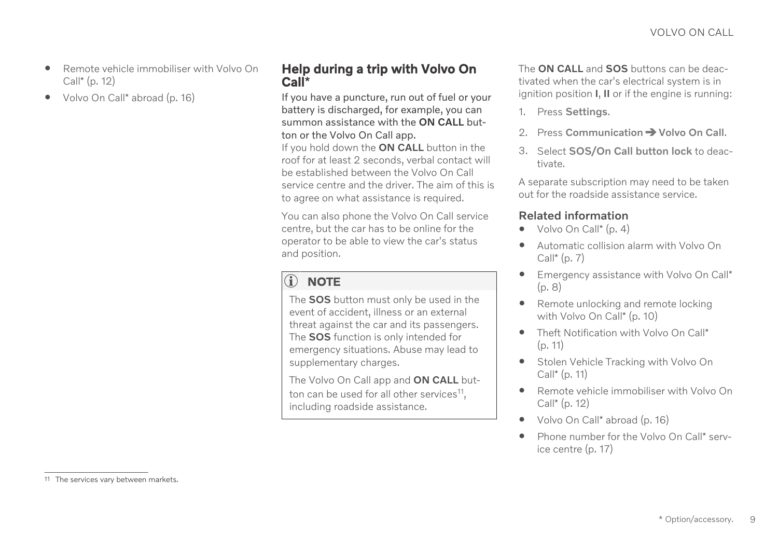- <span id="page-10-0"></span>• [Remote vehicle immobiliser with Volvo On](#page-13-0) Call\* [\(p. 12\)](#page-13-0)
- Volvo On Call\* [abroad \(p. 16\)](#page-17-0)

### Help during a trip with Volvo On Call**\***

If you have a puncture, run out of fuel or your battery is discharged, for example, you can summon assistance with the ON CALL button or the Volvo On Call app.

If you hold down the ON CALL button in the roof for at least 2 seconds, verbal contact will be established between the Volvo On Call service centre and the driver. The aim of this is to agree on what assistance is required.

You can also phone the Volvo On Call service centre, but the car has to be online for the operator to be able to view the car's status and position.

#### $\mathbf{\hat{i}}$ **[NOTE](https://voice.cbg.com:443/cmsweb/workspace/item/metadata/details.do?io=9cab7e1ee7d19ba1c0a8015165c79950&version=3&language=en&variant=GB)**

The **SOS** button must only be used in the event of accident, illness or an external threat against the car and its passengers. The SOS function is only intended for emergency situations. Abuse may lead to supplementary charges.

The Volvo On Call app and ON CALL button can be used for all other services<sup>11</sup>, including roadside assistance.

The **ON CALL** and **SOS** buttons can be deactivated when the car's electrical system is in ignition position I, II or if the engine is running:

- 1. Press Settings.
- 2. Press Communication  $\rightarrow$  Volvo On Call.
- 3. Select SOS/On Call button lock to deactivate.

A separate subscription may need to be taken out for the roadside assistance service.

- [Volvo On Call](#page-5-0)\* (p. 4)
- [Automatic collision alarm with Volvo On](#page-8-0)  $Call^*(p, 7)$
- [Emergency assistance with Volvo On Call](#page-9-0)\* [\(p. 8\)](#page-9-0)
- [Remote unlocking and remote locking](#page-11-0) [with Volvo On Call](#page-11-0)\* (p. 10)
- [Theft Notification with Volvo On Call](#page-12-0)\* [\(p. 11\)](#page-12-0)
- [Stolen Vehicle Tracking with Volvo On](#page-12-0)  $Call^*(p, 11)$
- [Remote vehicle immobiliser with Volvo On](#page-13-0) Call\* [\(p. 12\)](#page-13-0)
- Volvo On Call\* [abroad \(p. 16\)](#page-17-0)
- [Phone number for the Volvo On Call](#page-18-0)\* serv[ice centre \(p. 17\)](#page-18-0)

<sup>11</sup> The services vary between markets.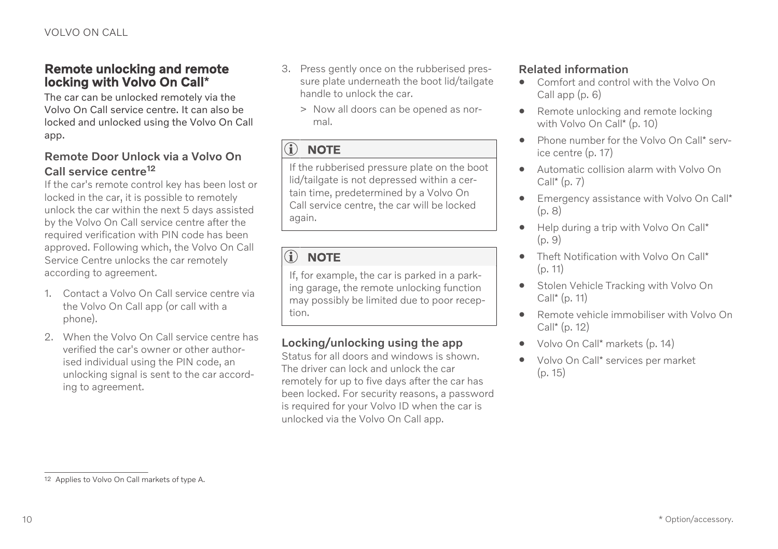### <span id="page-11-0"></span>Remote unlocking and remote locking with Volvo On Call**\***

The car can be unlocked remotely via the Volvo On Call service centre. It can also be locked and unlocked using the Volvo On Call app.

#### Remote Door Unlock via a Volvo On Call service centre<sup>12</sup>

If the car's remote control key has been lost or locked in the car, it is possible to remotely unlock the car within the next 5 days assisted by the Volvo On Call service centre after the required verification with PIN code has been approved. Following which, the Volvo On Call Service Centre unlocks the car remotely according to agreement.

- 1. Contact a Volvo On Call service centre via the Volvo On Call app (or call with a phone).
- 2. When the Volvo On Call service centre has verified the car's owner or other authorised individual using the PIN code, an unlocking signal is sent to the car according to agreement.
- 3. Press gently once on the rubberised pressure plate underneath the boot lid/tailgate handle to unlock the car.
	- > Now all doors can be opened as normal.

#### $\bigcirc$ **[NOTE](https://voice.cbg.com:443/cmsweb/workspace/item/metadata/details.do?io=f0ca117b1d3da123c0a8015118b17dad&version=6&language=en&variant=GB)**

If the rubberised pressure plate on the boot lid/tailgate is not depressed within a certain time, predetermined by a Volvo On Call service centre, the car will be locked again.

#### $\circ$ **[NOTE](https://voice.cbg.com:443/cmsweb/workspace/item/metadata/details.do?io=c8e1c3fa5e1596edc0a801515db05b2c&version=1&language=en&variant=GB)**

If, for example, the car is parked in a parking garage, the remote unlocking function may possibly be limited due to poor reception.

### Locking/unlocking using the app

Status for all doors and windows is shown. The driver can lock and unlock the car remotely for up to five days after the car has been locked. For security reasons, a password is required for your Volvo ID when the car is unlocked via the Volvo On Call app.

- [Comfort and control with the Volvo On](#page-7-0) [Call app \(p. 6\)](#page-7-0)
- Remote unlocking and remote locking with Volvo On Call\* (p. 10)
- [Phone number for the Volvo On Call](#page-18-0)\* serv[ice centre \(p. 17\)](#page-18-0)
- [Automatic collision alarm with Volvo On](#page-8-0)  $Call^*(p, 7)$
- [Emergency assistance with Volvo On Call](#page-9-0)\* [\(p. 8\)](#page-9-0)
- [Help during a trip with Volvo On Call](#page-10-0)\* [\(p. 9\)](#page-10-0)
- [Theft Notification with Volvo On Call](#page-12-0)\* [\(p. 11\)](#page-12-0)
- [Stolen Vehicle Tracking with Volvo On](#page-12-0) Call\* [\(p. 11\)](#page-12-0)
- [Remote vehicle immobiliser with Volvo On](#page-13-0) Call\* [\(p. 12\)](#page-13-0)
- Volvo On Call\* [markets \(p. 14\)](#page-15-0)
- Volvo On Call\* [services per market](#page-16-0)  $(p. 15)$

<sup>12</sup> Applies to Volvo On Call markets of type A.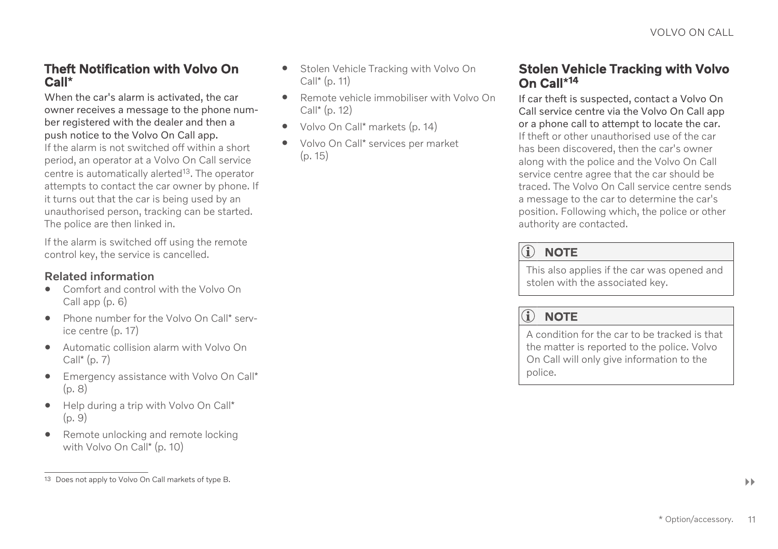### <span id="page-12-0"></span>Theft Notification with Volvo On Call**\***

When the car's alarm is activated, the car owner receives a message to the phone number registered with the dealer and then a push notice to the Volvo On Call app.

If the alarm is not switched off within a short period, an operator at a Volvo On Call service centre is automatically alerted<sup>13</sup>. The operator attempts to contact the car owner by phone. If it turns out that the car is being used by an unauthorised person, tracking can be started. The police are then linked in.

If the alarm is switched off using the remote control key, the service is cancelled.

#### Related information

- [Comfort and control with the Volvo On](#page-7-0) [Call app \(p. 6\)](#page-7-0)
- [Phone number for the Volvo On Call](#page-18-0)\* serv[ice centre \(p. 17\)](#page-18-0)
- [Automatic collision alarm with Volvo On](#page-8-0)  $Call^*(p, 7)$
- [Emergency assistance with Volvo On Call](#page-9-0)\* [\(p. 8\)](#page-9-0)
- [Help during a trip with Volvo On Call](#page-10-0)\* [\(p. 9\)](#page-10-0)
- [Remote unlocking and remote locking](#page-11-0) [with Volvo On Call](#page-11-0)\* (p. 10)
- Stolen Vehicle Tracking with Volvo On Call\* (p. 11)
- [Remote vehicle immobiliser with Volvo On](#page-13-0) Call\* [\(p. 12\)](#page-13-0)
- Volvo On Call\* [markets \(p. 14\)](#page-15-0)
- Volvo On Call\* [services per market](#page-16-0) [\(p. 15\)](#page-16-0)

### Stolen Vehicle Tracking with Volvo On Call**\*** 14

If car theft is suspected, contact a Volvo On Call service centre via the Volvo On Call app or a phone call to attempt to locate the car. If theft or other unauthorised use of the car has been discovered, then the car's owner along with the police and the Volvo On Call service centre agree that the car should be traced. The Volvo On Call service centre sends a message to the car to determine the car's position. Following which, the police or other authority are contacted.

## **(i)** [NOTE](https://voice.cbg.com:443/cmsweb/workspace/item/metadata/details.do?io=44e1f68d8795c57dc0a80151185e910a&version=1&language=en&variant=GB)

This also applies if the car was opened and stolen with the associated key.

#### $\mathbf{\widehat{1}}$ **[NOTE](https://voice.cbg.com:443/cmsweb/workspace/item/metadata/details.do?io=53537170fcd020c6c0a80151707ecc53&version=1&language=en&variant=GB)**

A condition for the car to be tracked is that the matter is reported to the police. Volvo On Call will only give information to the police.

<sup>13</sup> Does not apply to Volvo On Call markets of type B.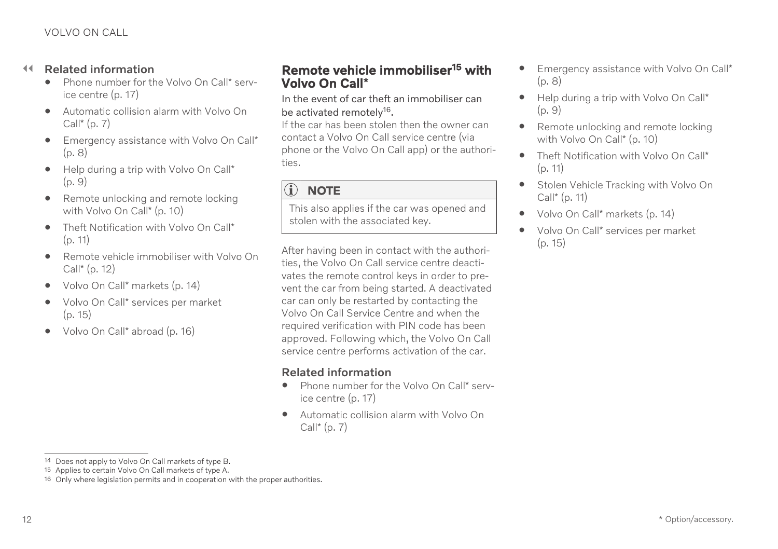#### <span id="page-13-0"></span> $\blacktriangleleft$ Related information

- [Phone number for the Volvo On Call](#page-18-0)\* serv[ice centre \(p. 17\)](#page-18-0)
- [Automatic collision alarm with Volvo On](#page-8-0)  $Call^*(p, 7)$
- [Emergency assistance with Volvo On Call](#page-9-0)\* [\(p. 8\)](#page-9-0)
- [Help during a trip with Volvo On Call](#page-10-0)\*  $(p, 9)$
- [Remote unlocking and remote locking](#page-11-0) [with Volvo On Call](#page-11-0)\* (p. 10)
- [Theft Notification with Volvo On Call](#page-12-0)\* [\(p. 11\)](#page-12-0)
- Remote vehicle immobiliser with Volvo On Call\* (p. 12)
- Volvo On Call\* [markets \(p. 14\)](#page-15-0)
- Volvo On Call\* [services per market](#page-16-0)  $(p. 15)$
- Volvo On Call\* [abroad \(p. 16\)](#page-17-0)

### Remote vehicle immobiliser<sup>15</sup> with Volvo On Call**\***

In the event of car theft an immobiliser can be activated remotely<sup>16</sup>.

If the car has been stolen then the owner can contact a Volvo On Call service centre (via phone or the Volvo On Call app) or the authorities.

#### $\mathbf{\widehat{1}}$ **[NOTE](https://voice.cbg.com:443/cmsweb/workspace/item/metadata/details.do?io=44e1f68d8795c57dc0a80151185e910a&version=1&language=en&variant=GB)**

This also applies if the car was opened and stolen with the associated key.

After having been in contact with the authorities, the Volvo On Call service centre deactivates the remote control keys in order to prevent the car from being started. A deactivated car can only be restarted by contacting the Volvo On Call Service Centre and when the required verification with PIN code has been approved. Following which, the Volvo On Call service centre performs activation of the car.

- [Phone number for the Volvo On Call](#page-18-0)\* serv[ice centre \(p. 17\)](#page-18-0)
- [Automatic collision alarm with Volvo On](#page-8-0) Call $*(p. 7)$
- [Emergency assistance with Volvo On Call](#page-9-0)\* [\(p. 8\)](#page-9-0)
- [Help during a trip with Volvo On Call](#page-10-0)\*  $(p, 9)$
- [Remote unlocking and remote locking](#page-11-0) [with Volvo On Call](#page-11-0)\* (p. 10)
- [Theft Notification with Volvo On Call](#page-12-0)\* [\(p. 11\)](#page-12-0)
- [Stolen Vehicle Tracking with Volvo On](#page-12-0) Call\* [\(p. 11\)](#page-12-0)
- Volvo On Call\* [markets \(p. 14\)](#page-15-0)
- Volvo On Call\* [services per market](#page-16-0) [\(p. 15\)](#page-16-0)

<sup>14</sup> Does not apply to Volvo On Call markets of type B.

<sup>15</sup> Applies to certain Volvo On Call markets of type A.

<sup>16</sup> Only where legislation permits and in cooperation with the proper authorities.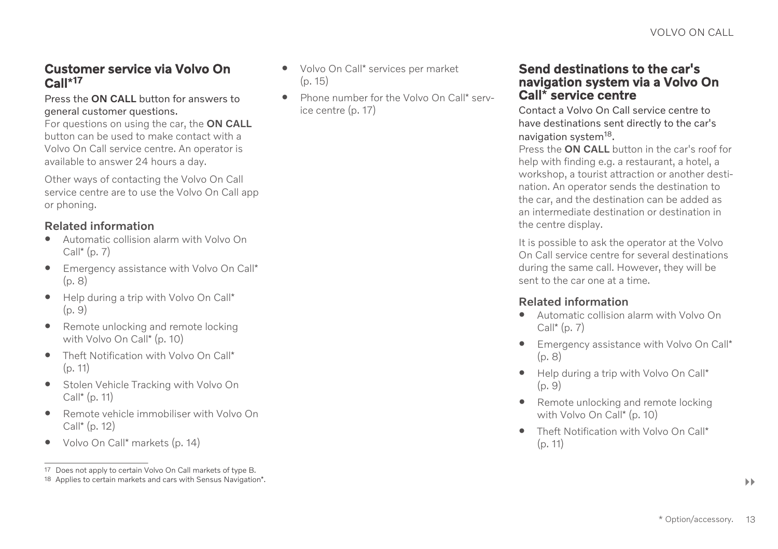### <span id="page-14-0"></span>Customer service via Volvo On Call**\*** 17

Press the ON CALL button for answers to general customer questions.

For questions on using the car, the ON CALL button can be used to make contact with a Volvo On Call service centre. An operator is available to answer 24 hours a day.

Other ways of contacting the Volvo On Call service centre are to use the Volvo On Call app or phoning.

#### Related information

- [Automatic collision alarm with Volvo On](#page-8-0)  $Call^*(p, 7)$
- [Emergency assistance with Volvo On Call](#page-9-0)\* [\(p. 8\)](#page-9-0)
- [Help during a trip with Volvo On Call](#page-10-0)\*  $(p, 9)$
- [Remote unlocking and remote locking](#page-11-0) [with Volvo On Call](#page-11-0)\* (p. 10)
- [Theft Notification with Volvo On Call](#page-12-0)\* [\(p. 11\)](#page-12-0)
- [Stolen Vehicle Tracking with Volvo On](#page-12-0) Call\* [\(p. 11\)](#page-12-0)
- [Remote vehicle immobiliser with Volvo On](#page-13-0) Call\* [\(p. 12\)](#page-13-0)
- Volvo On Call\* [markets \(p. 14\)](#page-15-0)
- Volvo On Call\* [services per market](#page-16-0) [\(p. 15\)](#page-16-0)
- [Phone number for the Volvo On Call](#page-18-0)\* serv[ice centre \(p. 17\)](#page-18-0)

#### Send destinations to the car's navigation system via a Volvo On Call**\*** service centre

Contact a Volvo On Call service centre to have destinations sent directly to the car's navigation system<sup>18</sup>.

Press the **ON CALL** button in the car's roof for help with finding e.g. a restaurant, a hotel, a workshop, a tourist attraction or another destination. An operator sends the destination to the car, and the destination can be added as an intermediate destination or destination in the centre display.

It is possible to ask the operator at the Volvo On Call service centre for several destinations during the same call. However, they will be sent to the car one at a time.

- [Automatic collision alarm with Volvo On](#page-8-0)  $Call^*(p, 7)$
- [Emergency assistance with Volvo On Call](#page-9-0)\* [\(p. 8\)](#page-9-0)
- [Help during a trip with Volvo On Call](#page-10-0)\* [\(p. 9\)](#page-10-0)
- [Remote unlocking and remote locking](#page-11-0) [with Volvo On Call](#page-11-0)\* (p. 10)
- [Theft Notification with Volvo On Call](#page-12-0)\* [\(p. 11\)](#page-12-0)

<sup>17</sup> Does not apply to certain Volvo On Call markets of type B.

<sup>18</sup> Applies to certain markets and cars with Sensus Navigation\*.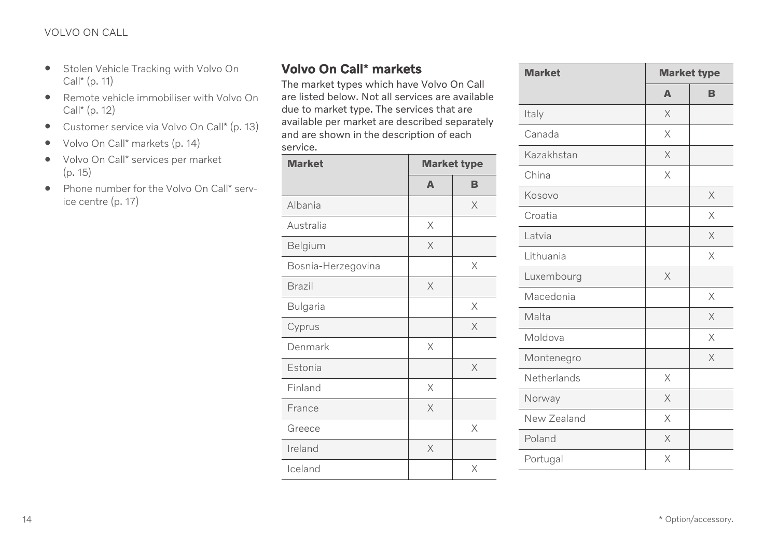- <span id="page-15-0"></span>• [Stolen Vehicle Tracking with Volvo On](#page-12-0) Call\* [\(p. 11\)](#page-12-0)
- [Remote vehicle immobiliser with Volvo On](#page-13-0) Call\* [\(p. 12\)](#page-13-0)
- [Customer service via Volvo On Call](#page-14-0)\* (p. 13)
- Volvo On Call\* markets (p. 14)
- Volvo On Call\* [services per market](#page-16-0) [\(p. 15\)](#page-16-0)
- [Phone number for the Volvo On Call](#page-18-0)\* serv[ice centre \(p. 17\)](#page-18-0)

## Volvo On Call**\*** markets

The market types which have Volvo On Call are listed below. Not all services are available due to market type. The services that are available per market are described separately and are shown in the description of each service.

| <b>Market</b>      | <b>Market type</b> |          |
|--------------------|--------------------|----------|
|                    | A                  | в        |
| Albania            |                    | X        |
| Australia          | X                  |          |
| Belgium            | X                  |          |
| Bosnia-Herzegovina |                    | X        |
| <b>Brazil</b>      | X                  |          |
| Bulgaria           |                    | X        |
| Cyprus             |                    | $\times$ |
| Denmark            | X                  |          |
| Estonia            |                    | X        |
| Finland            | X                  |          |
| France             | X                  |          |
| Greece             |                    | X        |
| Ireland            | X                  |          |
| Iceland            |                    | X        |

| <b>Market</b> | <b>Market type</b> |          |
|---------------|--------------------|----------|
|               | $\Delta$           | B        |
| Italy         | $\times$           |          |
| Canada        | X                  |          |
| Kazakhstan    | X                  |          |
| China         | $\times$           |          |
| Kosovo        |                    | X        |
| Croatia       |                    | X        |
| Latvia        |                    | $\times$ |
| Lithuania     |                    | X        |
| Luxembourg    | X                  |          |
| Macedonia     |                    | X        |
| Malta         |                    | $\times$ |
| Moldova       |                    | X        |
| Montenegro    |                    | $\times$ |
| Netherlands   | $\times$           |          |
| Norway        | $\times$           |          |
| New Zealand   | $\times$           |          |
| Poland        | $\times$           |          |
| Portugal      | X                  |          |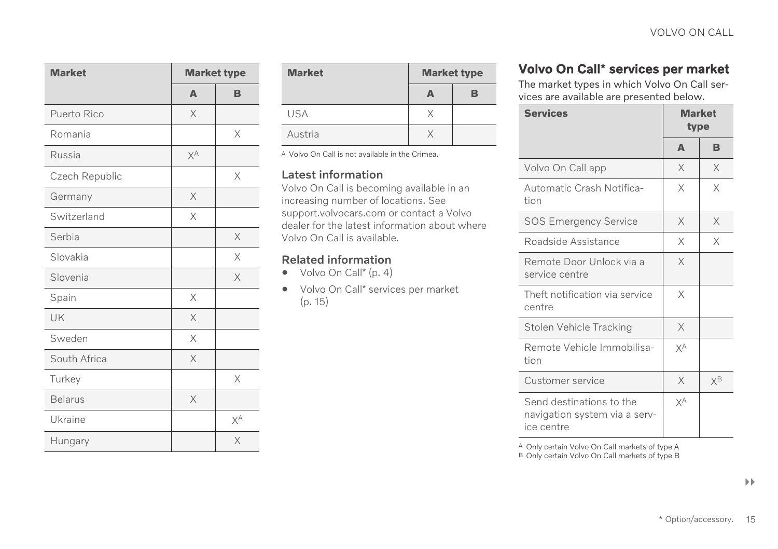<span id="page-16-0"></span>

| <b>Market</b><br><b>Market type</b> |              |          |
|-------------------------------------|--------------|----------|
|                                     | $\mathbb{A}$ | в        |
| Puerto Rico                         | X            |          |
| Romania                             |              | X        |
| Russia                              | χA           |          |
| Czech Republic                      |              | $\times$ |
| Germany                             | X            |          |
| Switzerland                         | X            |          |
| Serbia                              |              | X        |
| Slovakia                            |              | X        |
| Slovenia                            |              | X        |
| Spain                               | X            |          |
| UK                                  | X            |          |
| Sweden                              | X            |          |
| South Africa                        | X            |          |
| Turkey                              |              | X        |
| <b>Belarus</b>                      | X            |          |
| Ukraine                             |              | χA       |
| Hungary                             |              | X        |

| <b>Market</b> | <b>Market type</b> |   |
|---------------|--------------------|---|
|               |                    | R |
| <b>USA</b>    |                    |   |
| Austria       |                    |   |

A Volvo On Call is not available in the Crimea.

#### Latest information

Volvo On Call is becoming available in an increasing number of locations. See [support.volvocars.com](http://support.volvocars.com) or contact a Volvo dealer for the latest information about where Volvo On Call is available.

#### Related information

- [Volvo On Call](#page-5-0)\* (p. 4)
- Volvo On Call\* services per market (p. 15)

## Volvo On Call**\*** services per market

The market types in which Volvo On Call services are available are presented below.

| <b>Services</b><br><b>Market</b><br>type                                |          |    |  |
|-------------------------------------------------------------------------|----------|----|--|
|                                                                         | $\Delta$ | B  |  |
| Volvo On Call app                                                       | X        | X  |  |
| Automatic Crash Notifica-<br>tion                                       | X        | X  |  |
| <b>SOS Emergency Service</b>                                            | X        | X  |  |
| Roadside Assistance                                                     | X        | X  |  |
| Remote Door Unlock via a<br>service centre                              | X        |    |  |
| Theft notification via service<br>centre                                | X        |    |  |
| Stolen Vehicle Tracking                                                 | X        |    |  |
| Remote Vehicle Immobilisa-<br>tion                                      | χA       |    |  |
| Customer service                                                        | X        | χB |  |
| Send destinations to the<br>navigation system via a serv-<br>ice centre | χA       |    |  |

A Only certain Volvo On Call markets of type A B Only certain Volvo On Call markets of type B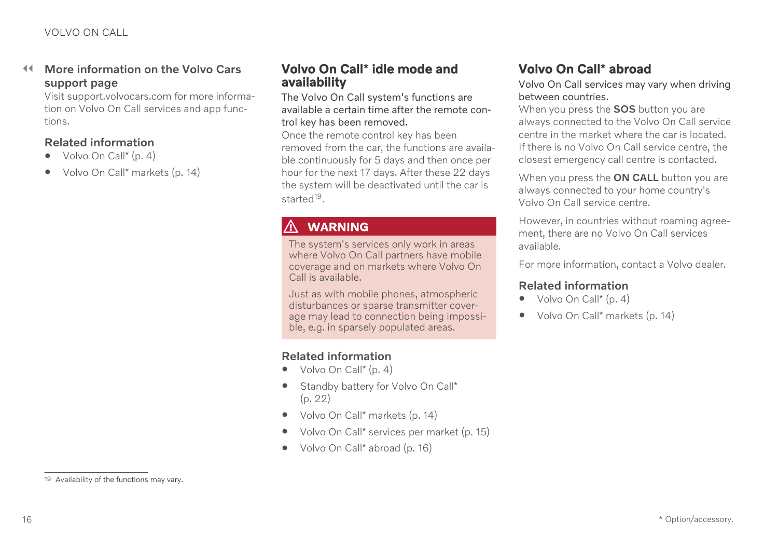#### <span id="page-17-0"></span> $\blacktriangleleft$ More information on the Volvo Cars support page

Visit [support.volvocars.com](http://support.volvocars.com) for more information on Volvo On Call services and app functions.

#### Related information

- $\bullet$  [Volvo On Call](#page-5-0)<sup>\*</sup> (p. 4)
- Volvo On Call\* [markets \(p. 14\)](#page-15-0)

### Volvo On Call**\*** idle mode and availability

The Volvo On Call system's functions are available a certain time after the remote control key has been removed.

Once the remote control key has been removed from the car, the functions are available continuously for 5 days and then once per hour for the next 17 days. After these 22 days the system will be deactivated until the car is started<sup>19</sup>.

## WARNING

The system's services only work in areas where Volvo On Call partners have mobile coverage and on markets where Volvo On Call is available.

Just as with mobile phones, atmospheric disturbances or sparse transmitter coverage may lead to connection being impossible, e.g. in sparsely populated areas.

#### Related information

- $\bullet$  [Volvo On Call](#page-5-0)\* (p. 4)
- [Standby battery for Volvo On Call](#page-23-0)\* [\(p. 22\)](#page-23-0)
- Volvo On Call\* [markets \(p. 14\)](#page-15-0)
- Volvo On Call\* [services per market \(p. 15\)](#page-16-0)
- Volvo On Call\* abroad (p. 16)

## Volvo On Call**\*** abroad

Volvo On Call services may vary when driving between countries.

When you press the **SOS** button you are always connected to the Volvo On Call service centre in the market where the car is located. If there is no Volvo On Call service centre, the closest emergency call centre is contacted.

When you press the ON CALL button you are always connected to your home country's Volvo On Call service centre.

However, in countries without roaming agreement, there are no Volvo On Call services available.

For more information, contact a Volvo dealer.

- [Volvo On Call](#page-5-0)\* (p. 4)
- Volvo On Call\* [markets \(p. 14\)](#page-15-0)

<sup>19</sup> Availability of the functions may vary.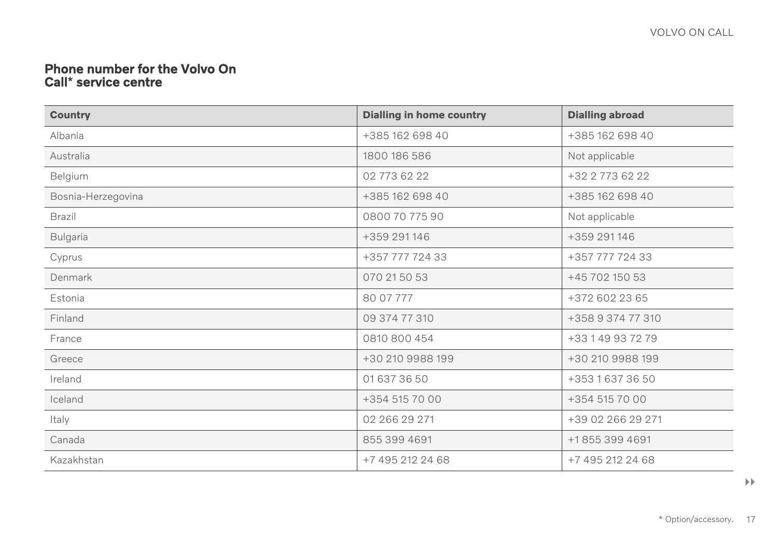#### <span id="page-18-0"></span>Phone number for the Volvo On Call**\*** service centre

| <b>Country</b>     | <b>Dialling in home country</b> | <b>Dialling abroad</b> |
|--------------------|---------------------------------|------------------------|
| Albania            | +385 162 698 40                 | +385 162 698 40        |
| Australia          | 1800 186 586                    | Not applicable         |
| Belgium            | 02 773 62 22                    | +32 2 773 62 22        |
| Bosnia-Herzegovina | +385 162 698 40                 | +385 162 698 40        |
| Brazil             | 0800 70 775 90                  | Not applicable         |
| Bulgaria           | +359 291 146                    | +359 291 146           |
| Cyprus             | +357 777 724 33                 | +357 777 724 33        |
| Denmark            | 070 21 50 53                    | +45 702 150 53         |
| Estonia            | 80 07 777                       | +372 602 23 65         |
| Finland            | 09 374 77 310                   | +358 9 374 77 310      |
| France             | 0810 800 454                    | +33 1 49 93 72 79      |
| Greece             | +30 210 9988 199                | +30 210 9988 199       |
| Ireland            | 01 637 36 50                    | +353 1 637 36 50       |
| Iceland            | +354 515 70 00                  | +354 515 70 00         |
| Italy              | 02 266 29 271                   | +39 02 266 29 271      |
| Canada             | 855 399 4691                    | +18553994691           |
| Kazakhstan         | +7 495 212 24 68                | +7 495 212 24 68       |

 $\rightarrow$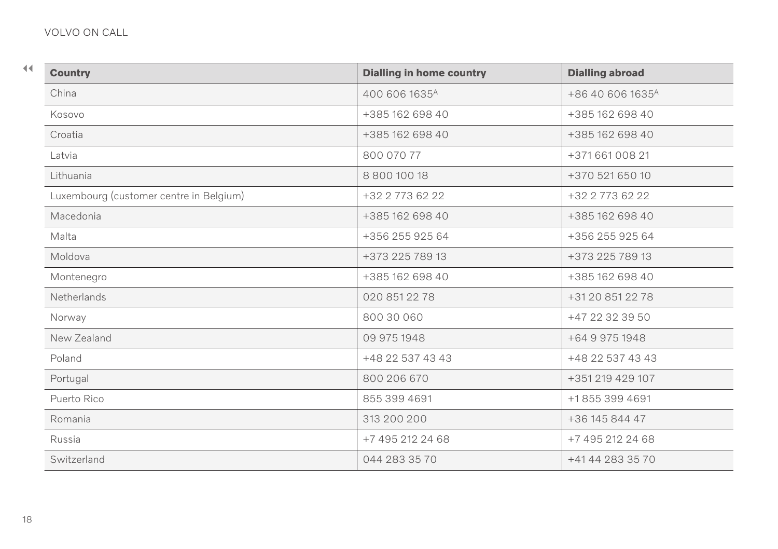| <b>Country</b>                          | <b>Dialling in home country</b> | <b>Dialling abroad</b>       |
|-----------------------------------------|---------------------------------|------------------------------|
| China                                   | 400 606 1635 <sup>A</sup>       | +86 40 606 1635 <sup>A</sup> |
| Kosovo                                  | +385 162 698 40                 | +385 162 698 40              |
| Croatia                                 | +385 162 698 40                 | +385 162 698 40              |
| Latvia                                  | 800 070 77                      | +371 661 008 21              |
| Lithuania                               | 8 800 100 18                    | +370 521 650 10              |
| Luxembourg (customer centre in Belgium) | +32 2 773 62 22                 | +32 2 773 62 22              |
| Macedonia                               | +385 162 698 40                 | +385 162 698 40              |
| Malta                                   | +356 255 925 64                 | +356 255 925 64              |
| Moldova                                 | +373 225 789 13                 | +373 225 789 13              |
| Montenegro                              | +385 162 698 40                 | +385 162 698 40              |
| Netherlands                             | 020 851 22 78                   | +31 20 851 22 78             |
| Norway                                  | 800 30 060                      | +47 22 32 39 50              |
| New Zealand                             | 09 975 1948                     | +64 9 975 1948               |
| Poland                                  | +48 22 537 43 43                | +48 22 537 43 43             |
| Portugal                                | 800 206 670                     | +351 219 429 107             |
| Puerto Rico                             | 855 399 4691                    | +18553994691                 |
| Romania                                 | 313 200 200                     | +36 145 844 47               |
| Russia                                  | +7 495 212 24 68                | +7 495 212 24 68             |
| Switzerland                             | 044 283 35 70                   | +41 44 283 35 70             |
|                                         |                                 |                              |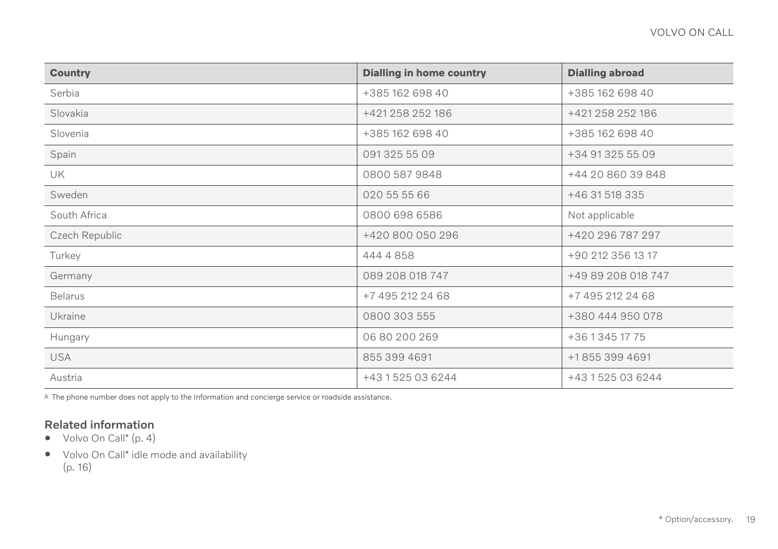| <b>Country</b> | <b>Dialling in home country</b> | <b>Dialling abroad</b> |
|----------------|---------------------------------|------------------------|
| Serbia         | +385 162 698 40                 | +385 162 698 40        |
| Slovakia       | +421 258 252 186                | +421 258 252 186       |
| Slovenia       | +385 162 698 40                 | +385 162 698 40        |
| Spain          | 0913255509                      | +34 91 325 55 09       |
| <b>UK</b>      | 0800 587 9848                   | +44 20 860 39 848      |
| Sweden         | 020 55 55 66                    | +46 31 518 335         |
| South Africa   | 0800 698 6586                   | Not applicable         |
| Czech Republic | +420 800 050 296                | +420 296 787 297       |
| Turkey         | 444 4 858                       | +90 212 356 13 17      |
| Germany        | 089 208 018 747                 | +49 89 208 018 747     |
| <b>Belarus</b> | +7 495 212 24 68                | +7 495 212 24 68       |
| Ukraine        | 0800 303 555                    | +380 444 950 078       |
| Hungary        | 06 80 200 269                   | +36 1 345 17 75        |
| <b>USA</b>     | 855 399 4691                    | +18553994691           |
| Austria        | +43 1 525 03 6244               | +43 1 525 03 6244      |

A The phone number does not apply to the Information and concierge service or roadside assistance.

- [Volvo On Call](#page-5-0)\* (p. 4)
- Volvo On Call\* [idle mode and availability](#page-17-0) [\(p. 16\)](#page-17-0)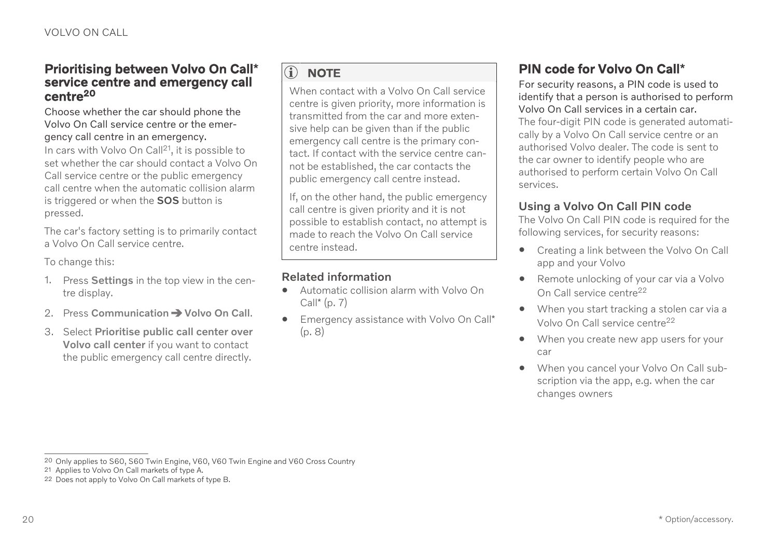#### <span id="page-21-0"></span>Prioritising between Volvo On Call**\*** service centre and emergency call centre<sup>20</sup>

#### Choose whether the car should phone the Volvo On Call service centre or the emergency call centre in an emergency.

In cars with Volvo On Call<sup>21</sup>, it is possible to set whether the car should contact a Volvo On Call service centre or the public emergency call centre when the automatic collision alarm is triggered or when the **SOS** button is pressed.

The car's factory setting is to primarily contact a Volvo On Call service centre.

To change this:

- 1. Press Settings in the top view in the centre display.
- 2. Press Communication  $\rightarrow$  Volvo On Call.
- 3. Select Prioritise public call center over Volvo call center if you want to contact the public emergency call centre directly.

## **i** [NOTE](https://voice.cbg.com:443/cmsweb/workspace/item/metadata/details.do?io=1c89dbe3248ecfbfc0a80151759d6ede&version=1&language=en&variant=GB)

When contact with a Volvo On Call service centre is given priority, more information is transmitted from the car and more extensive help can be given than if the public emergency call centre is the primary contact. If contact with the service centre cannot be established, the car contacts the public emergency call centre instead.

If, on the other hand, the public emergency call centre is given priority and it is not possible to establish contact, no attempt is made to reach the Volvo On Call service centre instead.

#### Related information

- [Automatic collision alarm with Volvo On](#page-8-0) Call\* [\(p. 7\)](#page-8-0)
- [Emergency assistance with Volvo On Call](#page-9-0)\* [\(p. 8\)](#page-9-0)

## PIN code for Volvo On Call**\***

For security reasons, a PIN code is used to identify that a person is authorised to perform Volvo On Call services in a certain car. The four-digit PIN code is generated automatically by a Volvo On Call service centre or an authorised Volvo dealer. The code is sent to the car owner to identify people who are authorised to perform certain Volvo On Call services.

#### Using a Volvo On Call PIN code

The Volvo On Call PIN code is required for the following services, for security reasons:

- Creating a link between the Volvo On Call app and your Volvo
- Remote unlocking of your car via a Volvo On Call service centre<sup>22</sup>
- When you start tracking a stolen car via a Volvo On Call service centre<sup>22</sup>
- When you create new app users for your car
- When you cancel your Volvo On Call subscription via the app, e.g. when the car changes owners

<sup>20</sup> Only applies to S60, S60 Twin Engine, V60, V60 Twin Engine and V60 Cross Country

<sup>21</sup> Applies to Volvo On Call markets of type A.

<sup>22</sup> Does not apply to Volvo On Call markets of type B.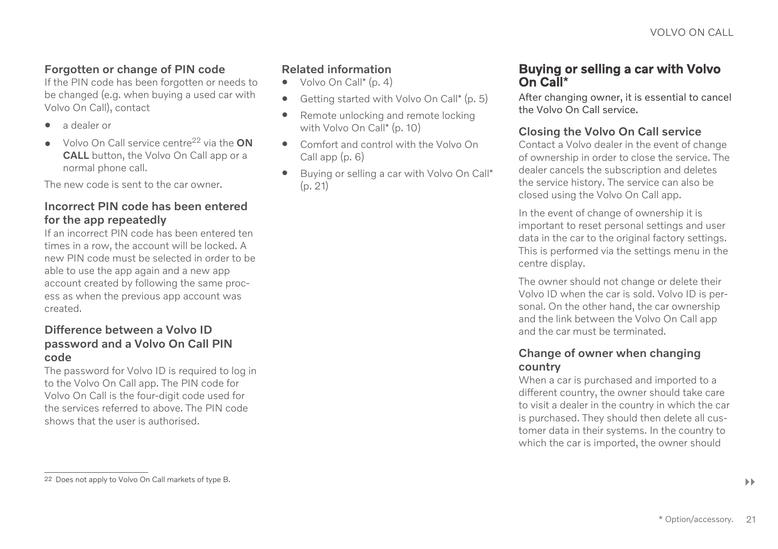#### <span id="page-22-0"></span>Forgotten or change of PIN code

If the PIN code has been forgotten or needs to be changed (e.g. when buying a used car with Volvo On Call), contact

- a dealer or
- Volvo On Call service centre<sup>22</sup> via the ON CALL button, the Volvo On Call app or a normal phone call.

The new code is sent to the car owner.

#### Incorrect PIN code has been entered for the app repeatedly

If an incorrect PIN code has been entered ten times in a row, the account will be locked. A new PIN code must be selected in order to be able to use the app again and a new app account created by following the same process as when the previous app account was created.

#### Difference between a Volvo ID password and a Volvo On Call PIN code

The password for Volvo ID is required to log in to the Volvo On Call app. The PIN code for Volvo On Call is the four-digit code used for the services referred to above. The PIN code shows that the user is authorised.

#### Related information

- [Volvo On Call](#page-5-0)\* (p. 4)
- [Getting started with Volvo On Call](#page-6-0)\* (p. 5)
- [Remote unlocking and remote locking](#page-11-0) [with Volvo On Call](#page-11-0)\* (p. 10)
- [Comfort and control with the Volvo On](#page-7-0) [Call app \(p. 6\)](#page-7-0)
- Buying or selling a car with Volvo On Call\* (p. 21)

### Buying or selling a car with Volvo On Call**\***

After changing owner, it is essential to cancel the Volvo On Call service.

#### Closing the Volvo On Call service

Contact a Volvo dealer in the event of change of ownership in order to close the service. The dealer cancels the subscription and deletes the service history. The service can also be closed using the Volvo On Call app.

In the event of change of ownership it is important to reset personal settings and user data in the car to the original factory settings. This is performed via the settings menu in the centre display.

The owner should not change or delete their Volvo ID when the car is sold. Volvo ID is personal. On the other hand, the car ownership and the link between the Volvo On Call app and the car must be terminated.

#### Change of owner when changing country

When a car is purchased and imported to a different country, the owner should take care to visit a dealer in the country in which the car is purchased. They should then delete all customer data in their systems. In the country to which the car is imported, the owner should

<sup>22</sup> Does not apply to Volvo On Call markets of type B.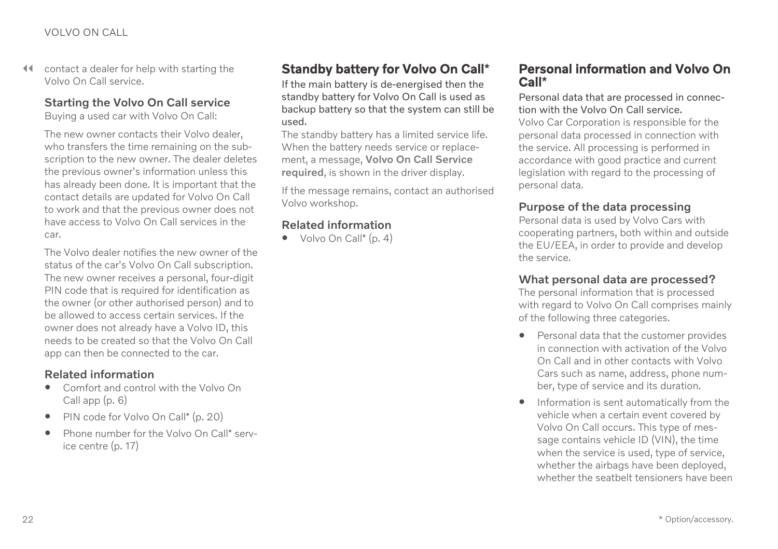<span id="page-23-0"></span> $\triangleleft$  contact a dealer for help with starting the Volvo On Call service.

### Starting the Volvo On Call service

Buying a used car with Volvo On Call:

The new owner contacts their Volvo dealer, who transfers the time remaining on the subscription to the new owner. The dealer deletes the previous owner's information unless this has already been done. It is important that the contact details are updated for Volvo On Call to work and that the previous owner does not have access to Volvo On Call services in the car.

The Volvo dealer notifies the new owner of the status of the car's Volvo On Call subscription. The new owner receives a personal, four-digit PIN code that is required for identification as the owner (or other authorised person) and to be allowed to access certain services. If the owner does not already have a Volvo ID, this needs to be created so that the Volvo On Call app can then be connected to the car.

#### Related information

- [Comfort and control with the Volvo On](#page-7-0) [Call app \(p. 6\)](#page-7-0)
- [PIN code for Volvo On Call](#page-21-0)\* (p. 20)
- [Phone number for the Volvo On Call](#page-18-0)\* serv[ice centre \(p. 17\)](#page-18-0)

## Standby battery for Volvo On Call**\***

If the main battery is de-energised then the standby battery for Volvo On Call is used as backup battery so that the system can still be used.

The standby battery has a limited service life. When the battery needs service or replacement, a message, Volvo On Call Service required, is shown in the driver display.

If the message remains, contact an authorised Volvo workshop.

#### Related information

 $\bullet$  [Volvo On Call](#page-5-0)\* (p. 4)

### Personal information and Volvo On Call**\***

Personal data that are processed in connection with the Volvo On Call service.

Volvo Car Corporation is responsible for the personal data processed in connection with the service. All processing is performed in accordance with good practice and current legislation with regard to the processing of personal data.

#### Purpose of the data processing

Personal data is used by Volvo Cars with cooperating partners, both within and outside the EU/EEA, in order to provide and develop the service.

#### What personal data are processed?

The personal information that is processed with regard to Volvo On Call comprises mainly of the following three categories.

- Personal data that the customer provides in connection with activation of the Volvo On Call and in other contacts with Volvo Cars such as name, address, phone number, type of service and its duration.
- Information is sent automatically from the vehicle when a certain event covered by Volvo On Call occurs. This type of message contains vehicle ID (VIN), the time when the service is used, type of service, whether the airbags have been deployed, whether the seatbelt tensioners have been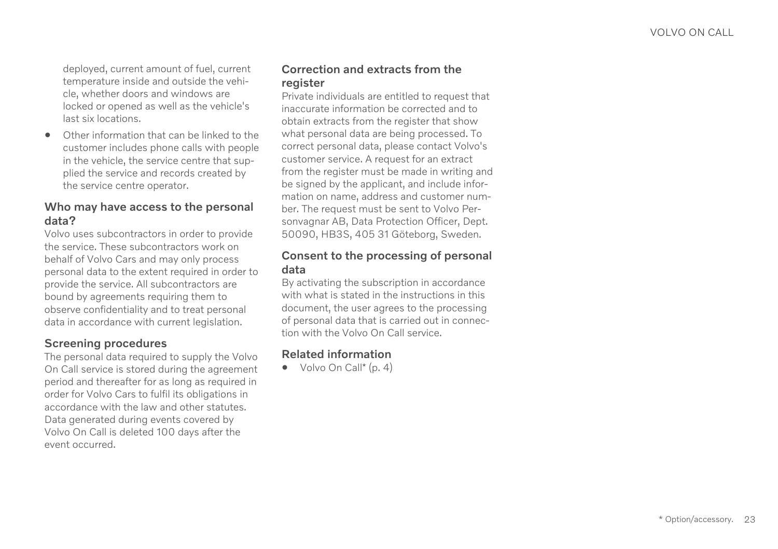deployed, current amount of fuel, current temperature inside and outside the vehicle, whether doors and windows are locked or opened as well as the vehicle's last six locations.

• Other information that can be linked to the customer includes phone calls with people in the vehicle, the service centre that supplied the service and records created by the service centre operator.

#### Who may have access to the personal data?

Volvo uses subcontractors in order to provide the service. These subcontractors work on behalf of Volvo Cars and may only process personal data to the extent required in order to provide the service. All subcontractors are bound by agreements requiring them to observe confidentiality and to treat personal data in accordance with current legislation.

#### Screening procedures

The personal data required to supply the Volvo On Call service is stored during the agreement period and thereafter for as long as required in order for Volvo Cars to fulfil its obligations in accordance with the law and other statutes. Data generated during events covered by Volvo On Call is deleted 100 days after the event occurred.

#### Correction and extracts from the register

Private individuals are entitled to request that inaccurate information be corrected and to obtain extracts from the register that show what personal data are being processed. To correct personal data, please contact Volvo's customer service. A request for an extract from the register must be made in writing and be signed by the applicant, and include information on name, address and customer number. The request must be sent to Volvo Personvagnar AB, Data Protection Officer, Dept. 50090, HB3S, 405 31 Göteborg, Sweden.

#### Consent to the processing of personal data

By activating the subscription in accordance with what is stated in the instructions in this document, the user agrees to the processing of personal data that is carried out in connection with the Volvo On Call service.

#### Related information

 $\bullet$  [Volvo On Call](#page-5-0)<sup>\*</sup> (p. 4)